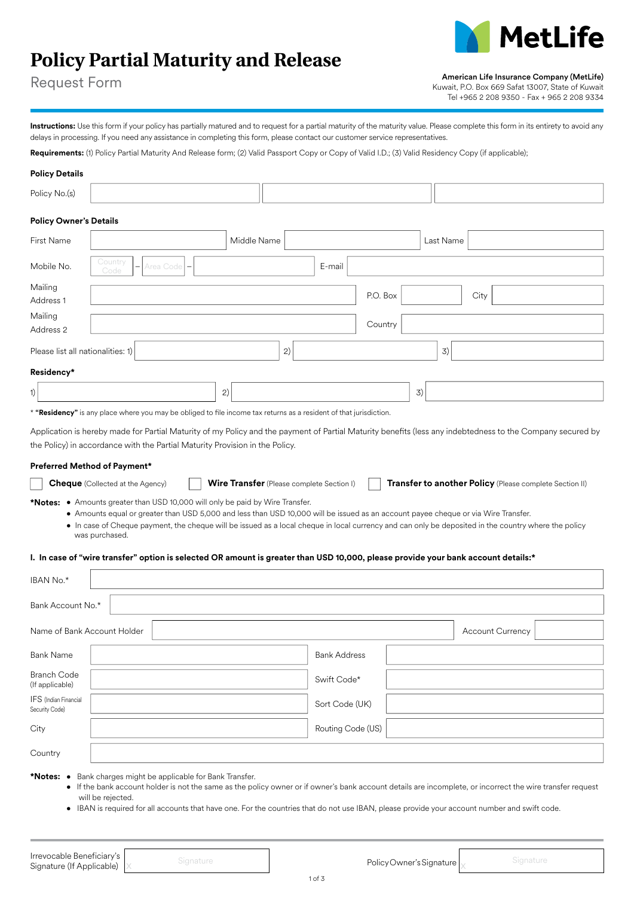# **Policy Partial Maturity and Release**



Request Form

American Life Insurance Company (MetLife)

Kuwait, P.O. Box 669 Safat 13007, State of Kuwait Tel +965 2 208 9350 - Fax + 965 2 208 9334

Instructions: Use this form if your policy has partially matured and to request for a partial maturity of the maturity value. Please complete this form in its entirety to avoid any delays in processing. If you need any assistance in completing this form, please contact our customer service representatives.

Requirements: (1) Policy Partial Maturity And Release form; (2) Valid Passport Copy or Copy of Valid I.D.; (3) Valid Residency Copy (if applicable);

| <b>Policy Details</b>             |                                                                                                                                                            |             |        |          |           |      |  |
|-----------------------------------|------------------------------------------------------------------------------------------------------------------------------------------------------------|-------------|--------|----------|-----------|------|--|
| Policy No.(s)                     |                                                                                                                                                            |             |        |          |           |      |  |
| <b>Policy Owner's Details</b>     |                                                                                                                                                            |             |        |          |           |      |  |
| First Name                        |                                                                                                                                                            | Middle Name |        |          | Last Name |      |  |
| Mobile No.                        | Country<br>Area Code<br>Code                                                                                                                               |             | E-mail |          |           |      |  |
| Mailing<br>Address 1              |                                                                                                                                                            |             |        | P.O. Box |           | City |  |
| Mailing<br>Address 2              |                                                                                                                                                            |             |        | Country  |           |      |  |
| Please list all nationalities: 1) |                                                                                                                                                            |             | 2)     |          | 3)        |      |  |
| Residency*                        |                                                                                                                                                            |             |        |          |           |      |  |
| 1)                                |                                                                                                                                                            | 2)          |        |          | 3)        |      |  |
|                                   | * "Residency" is any place where you may be obliged to file income tax returns as a resident of that jurisdiction.                                         |             |        |          |           |      |  |
|                                   | Application is hereby made for Partial Maturity of my Policy and the payment of Partial Maturity benefits (less any indebtedness to the Company secured by |             |        |          |           |      |  |

**Preferred Method of Payment\***

| <b>Cheque</b> (Collected at the Agency) | Wire |
|-----------------------------------------|------|
|-----------------------------------------|------|

**Cheque Transfer** (Please complete Section I) **Transfer to another Policy** (Please complete Section II)

**\*Notes:** • Amounts greater than USD 10,000 will only be paid by Wire Transfer.

the Policy) in accordance with the Partial Maturity Provision in the Policy.

- Amounts equal or greater than USD 5,000 and less than USD 10,000 will be issued as an account payee cheque or via Wire Transfer.
	- In case of Cheque payment, the cheque will be issued as a local cheque in local currency and can only be deposited in the country where the policy was purchased.

## **I. In case of "wire transfer" option is selected OR amount is greater than USD 10,000, please provide your bank account details:\***

| IBAN No.*                                                        |                     |  |  |  |  |  |
|------------------------------------------------------------------|---------------------|--|--|--|--|--|
| Bank Account No.*                                                |                     |  |  |  |  |  |
| Name of Bank Account Holder<br><b>Account Currency</b>           |                     |  |  |  |  |  |
| <b>Bank Name</b>                                                 | <b>Bank Address</b> |  |  |  |  |  |
| <b>Branch Code</b><br>(If applicable)                            | Swift Code*         |  |  |  |  |  |
| IFS (Indian Financial<br>Security Code)                          | Sort Code (UK)      |  |  |  |  |  |
| City                                                             | Routing Code (US)   |  |  |  |  |  |
| Country                                                          |                     |  |  |  |  |  |
| Bank charges might be applicable for Bank Transfer.<br>*Notes: • |                     |  |  |  |  |  |

- If the bank account holder is not the same as the policy owner or if owner's bank account details are incomplete, or incorrect the wire transfer request will be rejected.
- IBAN is required for all accounts that have one. For the countries that do not use IBAN, please provide your account number and swift code.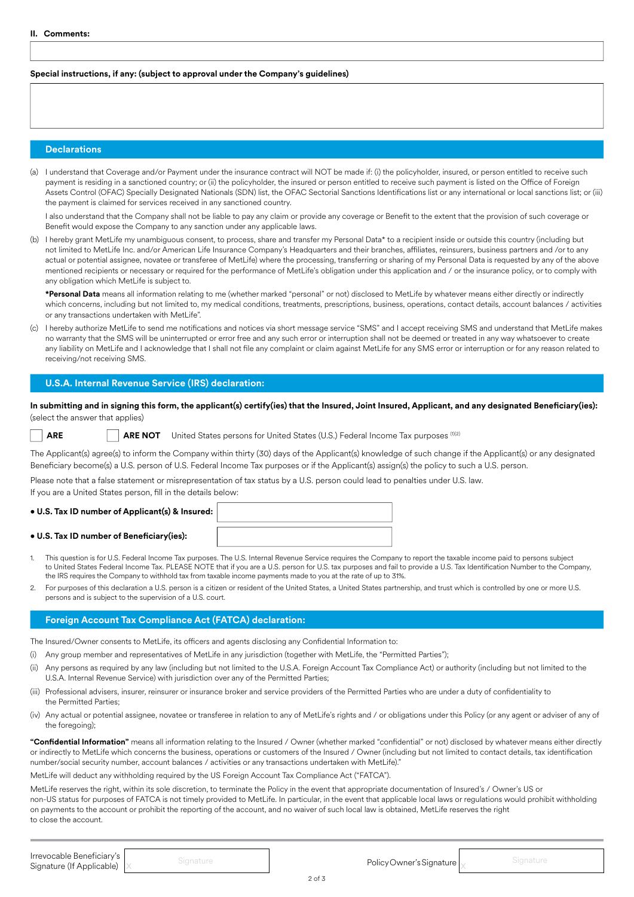## **Special instructions, if any: (subject to approval under the Company's guidelines)**

## **Declarations**

(a) I understand that Coverage and/or Payment under the insurance contract will NOT be made if: (i) the policyholder, insured, or person entitled to receive such payment is residing in a sanctioned country; or (ii) the policyholder, the insured or person entitled to receive such payment is listed on the Office of Foreign Assets Control (OFAC) Specially Designated Nationals (SDN) list, the OFAC Sectorial Sanctions Identifications list or any international or local sanctions list; or (iii) the payment is claimed for services received in any sanctioned country.

I also understand that the Company shall not be liable to pay any claim or provide any coverage or Benefit to the extent that the provision of such coverage or Benefit would expose the Company to any sanction under any applicable laws.

(b) I hereby grant MetLife my unambiguous consent, to process, share and transfer my Personal Data\* to a recipient inside or outside this country (including but not limited to MetLife Inc. and/or American Life Insurance Company's Headquarters and their branches, affiliates, reinsurers, business partners and /or to any actual or potential assignee, novatee or transferee of MetLife) where the processing, transferring or sharing of my Personal Data is requested by any of the above mentioned recipients or necessary or required for the performance of MetLife's obligation under this application and / or the insurance policy, or to comply with any obligation which MetLife is subject to.

**\*Personal Data** means all information relating to me (whether marked "personal" or not) disclosed to MetLife by whatever means either directly or indirectly which concerns, including but not limited to, my medical conditions, treatments, prescriptions, business, operations, contact details, account balances / activities or any transactions undertaken with MetLife".

(c) I hereby authorize MetLife to send me notifications and notices via short message service "SMS" and I accept receiving SMS and understand that MetLife makes no warranty that the SMS will be uninterrupted or error free and any such error or interruption shall not be deemed or treated in any way whatsoever to create any liability on MetLife and I acknowledge that I shall not file any complaint or claim against MetLife for any SMS error or interruption or for any reason related to receiving/not receiving SMS.

## **U.S.A. Internal Revenue Service (IRS) declaration:**

**In submitting and in signing this form, the applicant(s) certify(ies) that the Insured, Joint Insured, Applicant, and any designated Beneficiary(ies):**  (select the answer that applies)

**ARE ARE NOT** United States persons for United States (U.S.) Federal Income Tax purposes (1)(2)

The Applicant(s) agree(s) to inform the Company within thirty (30) days of the Applicant(s) knowledge of such change if the Applicant(s) or any designated Beneficiary become(s) a U.S. person of U.S. Federal Income Tax purposes or if the Applicant(s) assign(s) the policy to such a U.S. person.

Please note that a false statement or misrepresentation of tax status by a U.S. person could lead to penalties under U.S. law.

If you are a United States person, fill in the details below:

#### **• U.S. Tax ID number of Applicant(s) & Insured:**

#### **• U.S. Tax ID number of Beneficiary(ies):**

- 1. This question is for U.S. Federal Income Tax purposes. The U.S. Internal Revenue Service requires the Company to report the taxable income paid to persons subject to United States Federal Income Tax. PLEASE NOTE that if you are a U.S. person for U.S. tax purposes and fail to provide a U.S. Tax Identification Number to the Company, the IRS requires the Company to withhold tax from taxable income payments made to you at the rate of up to 31%.
- 2. For purposes of this declaration a U.S. person is a citizen or resident of the United States, a United States partnership, and trust which is controlled by one or more U.S. persons and is subject to the supervision of a U.S. court.

## **Foreign Account Tax Compliance Act (FATCA) declaration:**

The Insured/Owner consents to MetLife, its officers and agents disclosing any Confidential Information to:

- (i) Any group member and representatives of MetLife in any jurisdiction (together with MetLife, the "Permitted Parties");
- (ii) Any persons as required by any law (including but not limited to the U.S.A. Foreign Account Tax Compliance Act) or authority (including but not limited to the U.S.A. Internal Revenue Service) with jurisdiction over any of the Permitted Parties;
- (iii) Professional advisers, insurer, reinsurer or insurance broker and service providers of the Permitted Parties who are under a duty of confidentiality to the Permitted Parties;
- (iv) Any actual or potential assignee, novatee or transferee in relation to any of MetLife's rights and / or obligations under this Policy (or any agent or adviser of any of the foregoing);

**"Confidential Information"** means all information relating to the Insured / Owner (whether marked "confidential" or not) disclosed by whatever means either directly or indirectly to MetLife which concerns the business, operations or customers of the Insured / Owner (including but not limited to contact details, tax identification number/social security number, account balances / activities or any transactions undertaken with MetLife)."

MetLife will deduct any withholding required by the US Foreign Account Tax Compliance Act ("FATCA").

MetLife reserves the right, within its sole discretion, to terminate the Policy in the event that appropriate documentation of Insured's / Owner's US or non-US status for purposes of FATCA is not timely provided to MetLife. In particular, in the event that applicable local laws or regulations would prohibit withholding on payments to the account or prohibit the reporting of the account, and no waiver of such local law is obtained, MetLife reserves the right to close the account.

| Irrevocable Beneficiary's |        |                              |  |
|---------------------------|--------|------------------------------|--|
| Signature (If Applicable) | ------ | Policy Owner's Signature   J |  |